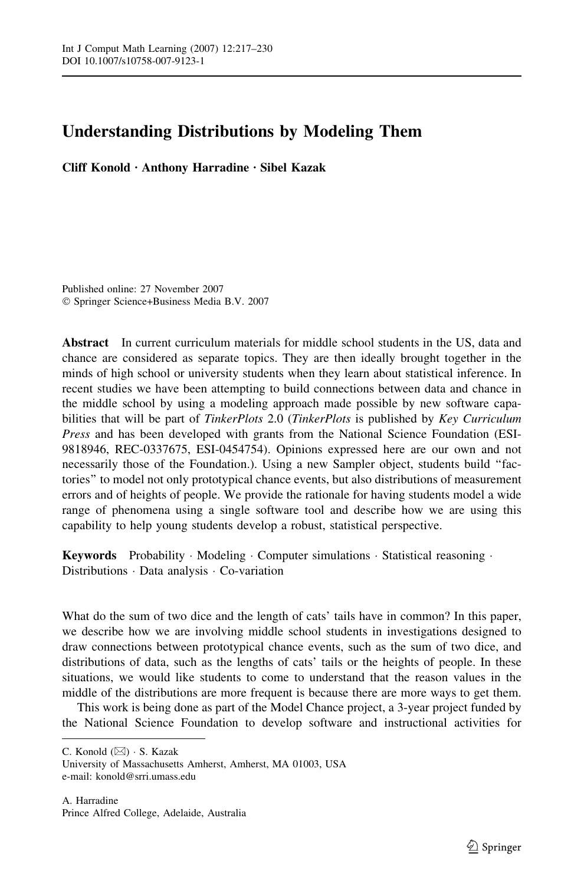# Understanding Distributions by Modeling Them

Cliff Konold · Anthony Harradine · Sibel Kazak

Published online: 27 November 2007 Springer Science+Business Media B.V. 2007

Abstract In current curriculum materials for middle school students in the US, data and chance are considered as separate topics. They are then ideally brought together in the minds of high school or university students when they learn about statistical inference. In recent studies we have been attempting to build connections between data and chance in the middle school by using a modeling approach made possible by new software capabilities that will be part of TinkerPlots 2.0 (TinkerPlots is published by Key Curriculum Press and has been developed with grants from the National Science Foundation (ESI-9818946, REC-0337675, ESI-0454754). Opinions expressed here are our own and not necessarily those of the Foundation.). Using a new Sampler object, students build ''factories'' to model not only prototypical chance events, but also distributions of measurement errors and of heights of people. We provide the rationale for having students model a wide range of phenomena using a single software tool and describe how we are using this capability to help young students develop a robust, statistical perspective.

**Keywords** Probability Modeling Computer simulations Statistical reasoning  $\cdot$ Distributions · Data analysis · Co-variation

What do the sum of two dice and the length of cats' tails have in common? In this paper, we describe how we are involving middle school students in investigations designed to draw connections between prototypical chance events, such as the sum of two dice, and distributions of data, such as the lengths of cats' tails or the heights of people. In these situations, we would like students to come to understand that the reason values in the middle of the distributions are more frequent is because there are more ways to get them.

This work is being done as part of the Model Chance project, a 3-year project funded by the National Science Foundation to develop software and instructional activities for

C. Konold  $(\boxtimes) \cdot$  S. Kazak

University of Massachusetts Amherst, Amherst, MA 01003, USA e-mail: konold@srri.umass.edu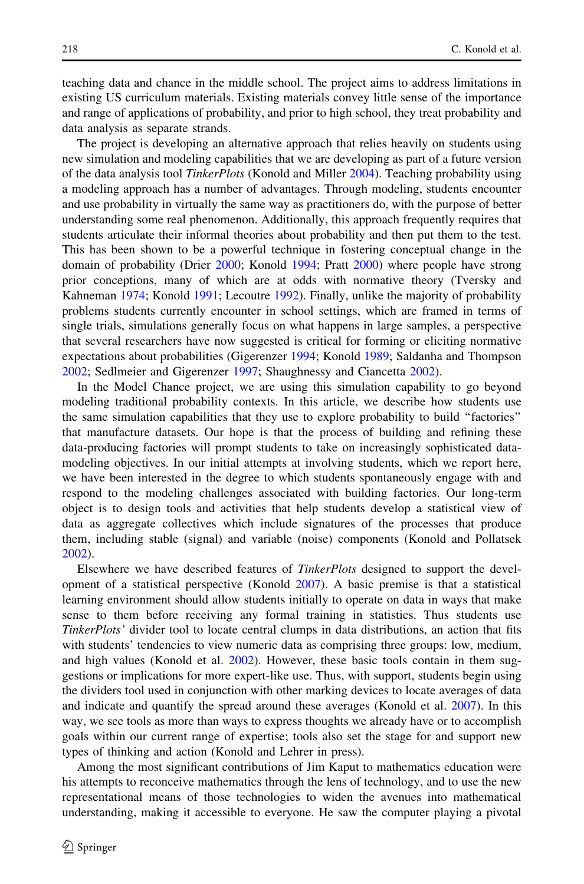teaching data and chance in the middle school. The project aims to address limitations in existing US curriculum materials. Existing materials convey little sense of the importance and range of applications of probability, and prior to high school, they treat probability and data analysis as separate strands.

The project is developing an alternative approach that relies heavily on students using new simulation and modeling capabilities that we are developing as part of a future version of the data analysis tool TinkerPlots (Konold and Miller [2004](#page-13-0)). Teaching probability using a modeling approach has a number of advantages. Through modeling, students encounter and use probability in virtually the same way as practitioners do, with the purpose of better understanding some real phenomenon. Additionally, this approach frequently requires that students articulate their informal theories about probability and then put them to the test. This has been shown to be a powerful technique in fostering conceptual change in the domain of probability (Drier [2000](#page-12-0); Konold [1994](#page-12-0); Pratt [2000](#page-13-0)) where people have strong prior conceptions, many of which are at odds with normative theory (Tversky and Kahneman [1974](#page-13-0); Konold [1991;](#page-12-0) Lecoutre [1992](#page-13-0)). Finally, unlike the majority of probability problems students currently encounter in school settings, which are framed in terms of single trials, simulations generally focus on what happens in large samples, a perspective that several researchers have now suggested is critical for forming or eliciting normative expectations about probabilities (Gigerenzer [1994;](#page-12-0) Konold [1989;](#page-12-0) Saldanha and Thompson [2002;](#page-13-0) Sedlmeier and Gigerenzer [1997](#page-13-0); Shaughnessy and Ciancetta [2002\)](#page-13-0).

In the Model Chance project, we are using this simulation capability to go beyond modeling traditional probability contexts. In this article, we describe how students use the same simulation capabilities that they use to explore probability to build ''factories'' that manufacture datasets. Our hope is that the process of building and refining these data-producing factories will prompt students to take on increasingly sophisticated datamodeling objectives. In our initial attempts at involving students, which we report here, we have been interested in the degree to which students spontaneously engage with and respond to the modeling challenges associated with building factories. Our long-term object is to design tools and activities that help students develop a statistical view of data as aggregate collectives which include signatures of the processes that produce them, including stable (signal) and variable (noise) components (Konold and Pollatsek [2002\)](#page-13-0).

Elsewhere we have described features of TinkerPlots designed to support the development of a statistical perspective (Konold [2007](#page-12-0)). A basic premise is that a statistical learning environment should allow students initially to operate on data in ways that make sense to them before receiving any formal training in statistics. Thus students use TinkerPlots' divider tool to locate central clumps in data distributions, an action that fits with students' tendencies to view numeric data as comprising three groups: low, medium, and high values (Konold et al. [2002](#page-13-0)). However, these basic tools contain in them suggestions or implications for more expert-like use. Thus, with support, students begin using the dividers tool used in conjunction with other marking devices to locate averages of data and indicate and quantify the spread around these averages (Konold et al. [2007\)](#page-13-0). In this way, we see tools as more than ways to express thoughts we already have or to accomplish goals within our current range of expertise; tools also set the stage for and support new types of thinking and action (Konold and Lehrer in press).

Among the most significant contributions of Jim Kaput to mathematics education were his attempts to reconceive mathematics through the lens of technology, and to use the new representational means of those technologies to widen the avenues into mathematical understanding, making it accessible to everyone. He saw the computer playing a pivotal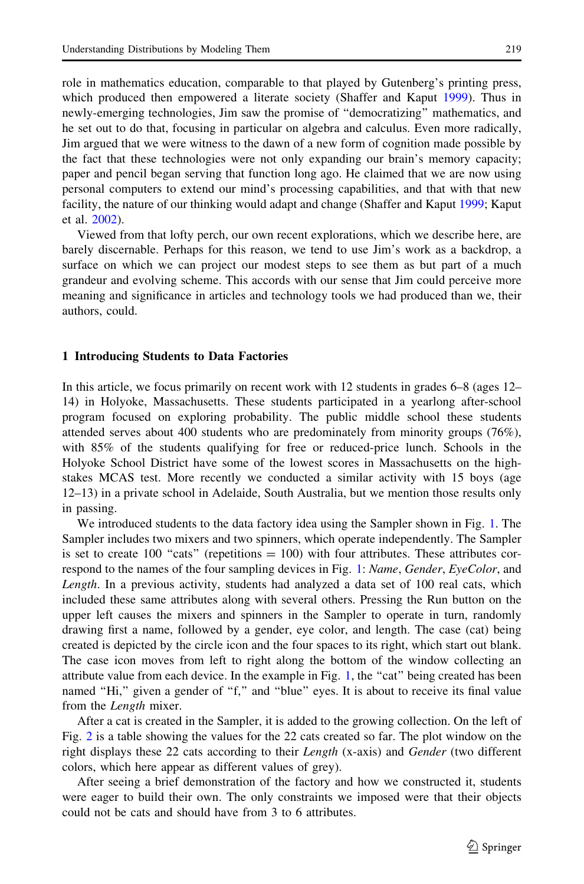role in mathematics education, comparable to that played by Gutenberg's printing press, which produced then empowered a literate society (Shaffer and Kaput [1999](#page-13-0)). Thus in newly-emerging technologies, Jim saw the promise of ''democratizing'' mathematics, and he set out to do that, focusing in particular on algebra and calculus. Even more radically, Jim argued that we were witness to the dawn of a new form of cognition made possible by the fact that these technologies were not only expanding our brain's memory capacity; paper and pencil began serving that function long ago. He claimed that we are now using personal computers to extend our mind's processing capabilities, and that with that new facility, the nature of our thinking would adapt and change (Shaffer and Kaput [1999;](#page-13-0) Kaput et al. [2002](#page-12-0)).

Viewed from that lofty perch, our own recent explorations, which we describe here, are barely discernable. Perhaps for this reason, we tend to use Jim's work as a backdrop, a surface on which we can project our modest steps to see them as but part of a much grandeur and evolving scheme. This accords with our sense that Jim could perceive more meaning and significance in articles and technology tools we had produced than we, their authors, could.

#### 1 Introducing Students to Data Factories

In this article, we focus primarily on recent work with 12 students in grades 6–8 (ages 12– 14) in Holyoke, Massachusetts. These students participated in a yearlong after-school program focused on exploring probability. The public middle school these students attended serves about 400 students who are predominately from minority groups (76%), with 85% of the students qualifying for free or reduced-price lunch. Schools in the Holyoke School District have some of the lowest scores in Massachusetts on the highstakes MCAS test. More recently we conducted a similar activity with 15 boys (age 12–13) in a private school in Adelaide, South Australia, but we mention those results only in passing.

We introduced students to the data factory idea using the Sampler shown in Fig. [1.](#page-3-0) The Sampler includes two mixers and two spinners, which operate independently. The Sampler is set to create 100 "cats" (repetitions  $= 100$ ) with four attributes. These attributes cor-respond to the names of the four sampling devices in Fig. [1:](#page-3-0) Name, Gender, EyeColor, and Length. In a previous activity, students had analyzed a data set of 100 real cats, which included these same attributes along with several others. Pressing the Run button on the upper left causes the mixers and spinners in the Sampler to operate in turn, randomly drawing first a name, followed by a gender, eye color, and length. The case (cat) being created is depicted by the circle icon and the four spaces to its right, which start out blank. The case icon moves from left to right along the bottom of the window collecting an attribute value from each device. In the example in Fig. [1](#page-3-0), the "cat" being created has been named "Hi," given a gender of "f," and "blue" eyes. It is about to receive its final value from the *Length* mixer.

After a cat is created in the Sampler, it is added to the growing collection. On the left of Fig. [2](#page-3-0) is a table showing the values for the 22 cats created so far. The plot window on the right displays these 22 cats according to their Length (x-axis) and Gender (two different colors, which here appear as different values of grey).

After seeing a brief demonstration of the factory and how we constructed it, students were eager to build their own. The only constraints we imposed were that their objects could not be cats and should have from 3 to 6 attributes.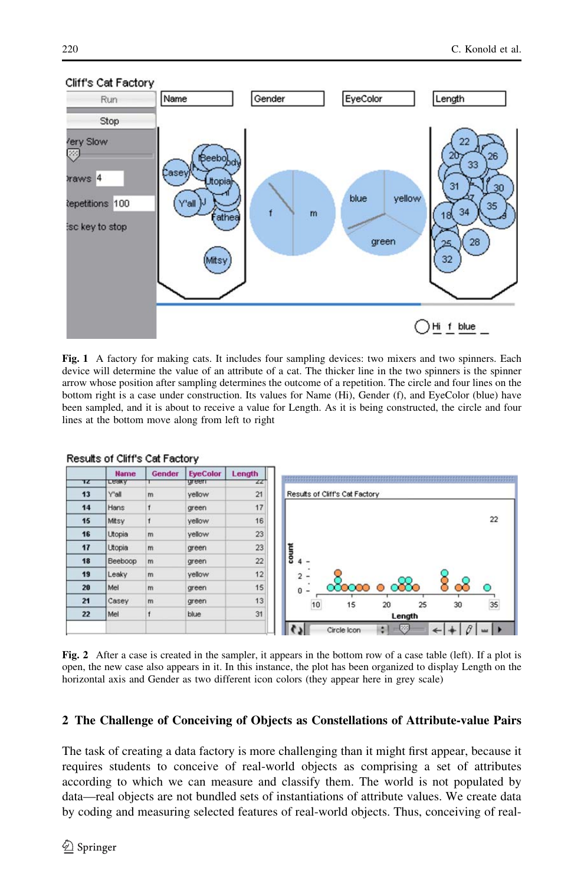<span id="page-3-0"></span>

Fig. 1 A factory for making cats. It includes four sampling devices: two mixers and two spinners. Each device will determine the value of an attribute of a cat. The thicker line in the two spinners is the spinner arrow whose position after sampling determines the outcome of a repetition. The circle and four lines on the bottom right is a case under construction. Its values for Name (Hi), Gender (f), and EyeColor (blue) have been sampled, and it is about to receive a value for Length. As it is being constructed, the circle and four lines at the bottom move along from left to right



Results of Cliff's Cat Factory

Fig. 2 After a case is created in the sampler, it appears in the bottom row of a case table (left). If a plot is open, the new case also appears in it. In this instance, the plot has been organized to display Length on the horizontal axis and Gender as two different icon colors (they appear here in grey scale)

## 2 The Challenge of Conceiving of Objects as Constellations of Attribute-value Pairs

The task of creating a data factory is more challenging than it might first appear, because it requires students to conceive of real-world objects as comprising a set of attributes according to which we can measure and classify them. The world is not populated by data—real objects are not bundled sets of instantiations of attribute values. We create data by coding and measuring selected features of real-world objects. Thus, conceiving of real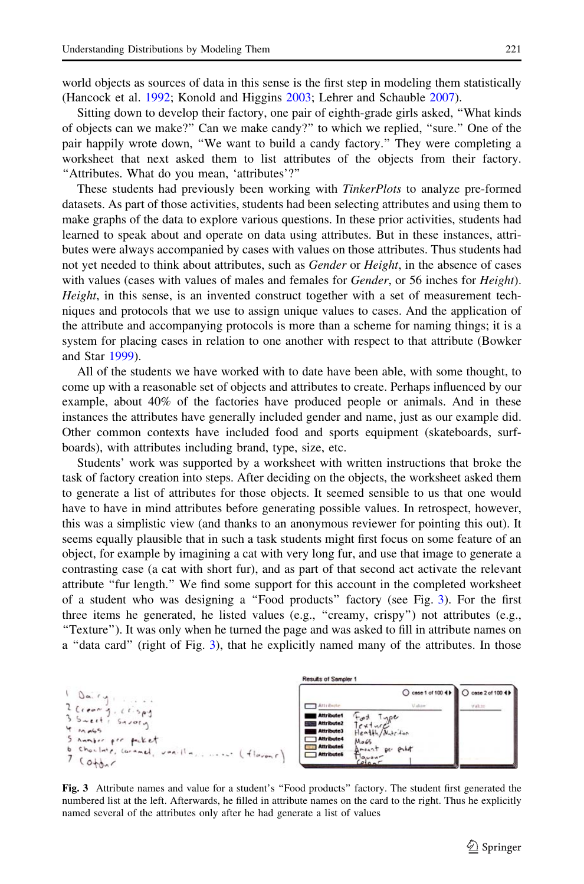world objects as sources of data in this sense is the first step in modeling them statistically (Hancock et al. [1992](#page-12-0); Konold and Higgins [2003](#page-12-0); Lehrer and Schauble [2007](#page-13-0)).

Sitting down to develop their factory, one pair of eighth-grade girls asked, ''What kinds of objects can we make?'' Can we make candy?'' to which we replied, ''sure.'' One of the pair happily wrote down, ''We want to build a candy factory.'' They were completing a worksheet that next asked them to list attributes of the objects from their factory. "Attributes. What do you mean, 'attributes'?"

These students had previously been working with TinkerPlots to analyze pre-formed datasets. As part of those activities, students had been selecting attributes and using them to make graphs of the data to explore various questions. In these prior activities, students had learned to speak about and operate on data using attributes. But in these instances, attributes were always accompanied by cases with values on those attributes. Thus students had not yet needed to think about attributes, such as *Gender* or *Height*, in the absence of cases with values (cases with values of males and females for *Gender*, or 56 inches for *Height*). Height, in this sense, is an invented construct together with a set of measurement techniques and protocols that we use to assign unique values to cases. And the application of the attribute and accompanying protocols is more than a scheme for naming things; it is a system for placing cases in relation to one another with respect to that attribute (Bowker and Star [1999\)](#page-12-0).

All of the students we have worked with to date have been able, with some thought, to come up with a reasonable set of objects and attributes to create. Perhaps influenced by our example, about 40% of the factories have produced people or animals. And in these instances the attributes have generally included gender and name, just as our example did. Other common contexts have included food and sports equipment (skateboards, surfboards), with attributes including brand, type, size, etc.

Students' work was supported by a worksheet with written instructions that broke the task of factory creation into steps. After deciding on the objects, the worksheet asked them to generate a list of attributes for those objects. It seemed sensible to us that one would have to have in mind attributes before generating possible values. In retrospect, however, this was a simplistic view (and thanks to an anonymous reviewer for pointing this out). It seems equally plausible that in such a task students might first focus on some feature of an object, for example by imagining a cat with very long fur, and use that image to generate a contrasting case (a cat with short fur), and as part of that second act activate the relevant attribute ''fur length.'' We find some support for this account in the completed worksheet of a student who was designing a ''Food products'' factory (see Fig. 3). For the first three items he generated, he listed values (e.g., ''creamy, crispy'') not attributes (e.g., ''Texture''). It was only when he turned the page and was asked to fill in attribute names on a ''data card'' (right of Fig. 3), that he explicitly named many of the attributes. In those



Fig. 3 Attribute names and value for a student's ''Food products'' factory. The student first generated the numbered list at the left. Afterwards, he filled in attribute names on the card to the right. Thus he explicitly named several of the attributes only after he had generate a list of values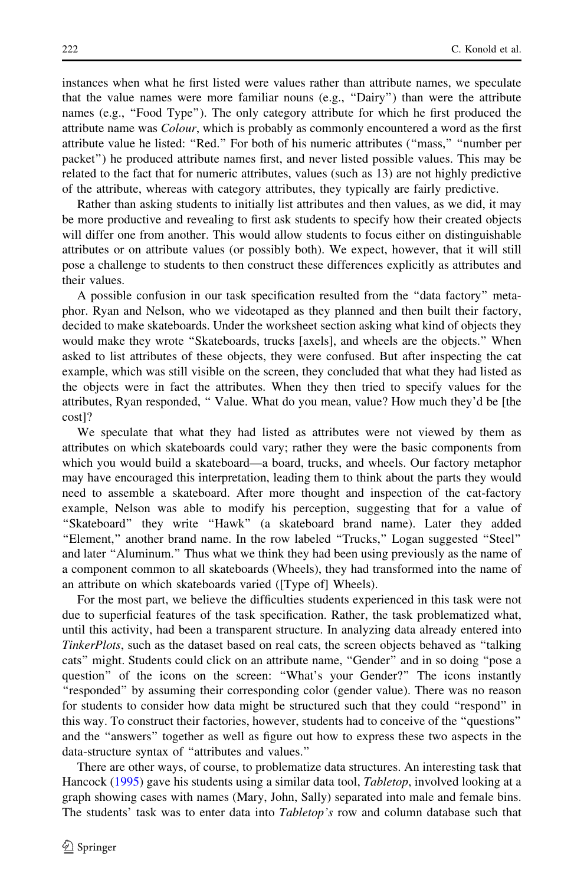instances when what he first listed were values rather than attribute names, we speculate that the value names were more familiar nouns (e.g., ''Dairy'') than were the attribute names (e.g., ''Food Type''). The only category attribute for which he first produced the attribute name was *Colour*, which is probably as commonly encountered a word as the first attribute value he listed: ''Red.'' For both of his numeric attributes (''mass,'' ''number per packet'') he produced attribute names first, and never listed possible values. This may be related to the fact that for numeric attributes, values (such as 13) are not highly predictive of the attribute, whereas with category attributes, they typically are fairly predictive.

Rather than asking students to initially list attributes and then values, as we did, it may be more productive and revealing to first ask students to specify how their created objects will differ one from another. This would allow students to focus either on distinguishable attributes or on attribute values (or possibly both). We expect, however, that it will still pose a challenge to students to then construct these differences explicitly as attributes and their values.

A possible confusion in our task specification resulted from the ''data factory'' metaphor. Ryan and Nelson, who we videotaped as they planned and then built their factory, decided to make skateboards. Under the worksheet section asking what kind of objects they would make they wrote "Skateboards, trucks [axels], and wheels are the objects." When asked to list attributes of these objects, they were confused. But after inspecting the cat example, which was still visible on the screen, they concluded that what they had listed as the objects were in fact the attributes. When they then tried to specify values for the attributes, Ryan responded, '' Value. What do you mean, value? How much they'd be [the cost]?

We speculate that what they had listed as attributes were not viewed by them as attributes on which skateboards could vary; rather they were the basic components from which you would build a skateboard—a board, trucks, and wheels. Our factory metaphor may have encouraged this interpretation, leading them to think about the parts they would need to assemble a skateboard. After more thought and inspection of the cat-factory example, Nelson was able to modify his perception, suggesting that for a value of "Skateboard" they write "Hawk" (a skateboard brand name). Later they added ''Element,'' another brand name. In the row labeled ''Trucks,'' Logan suggested ''Steel'' and later ''Aluminum.'' Thus what we think they had been using previously as the name of a component common to all skateboards (Wheels), they had transformed into the name of an attribute on which skateboards varied ([Type of] Wheels).

For the most part, we believe the difficulties students experienced in this task were not due to superficial features of the task specification. Rather, the task problematized what, until this activity, had been a transparent structure. In analyzing data already entered into TinkerPlots, such as the dataset based on real cats, the screen objects behaved as ''talking cats'' might. Students could click on an attribute name, ''Gender'' and in so doing ''pose a question'' of the icons on the screen: ''What's your Gender?'' The icons instantly ''responded'' by assuming their corresponding color (gender value). There was no reason for students to consider how data might be structured such that they could ''respond'' in this way. To construct their factories, however, students had to conceive of the ''questions'' and the ''answers'' together as well as figure out how to express these two aspects in the data-structure syntax of ''attributes and values.''

There are other ways, of course, to problematize data structures. An interesting task that Hancock ([1995\)](#page-12-0) gave his students using a similar data tool, Tabletop, involved looking at a graph showing cases with names (Mary, John, Sally) separated into male and female bins. The students' task was to enter data into *Tabletop's* row and column database such that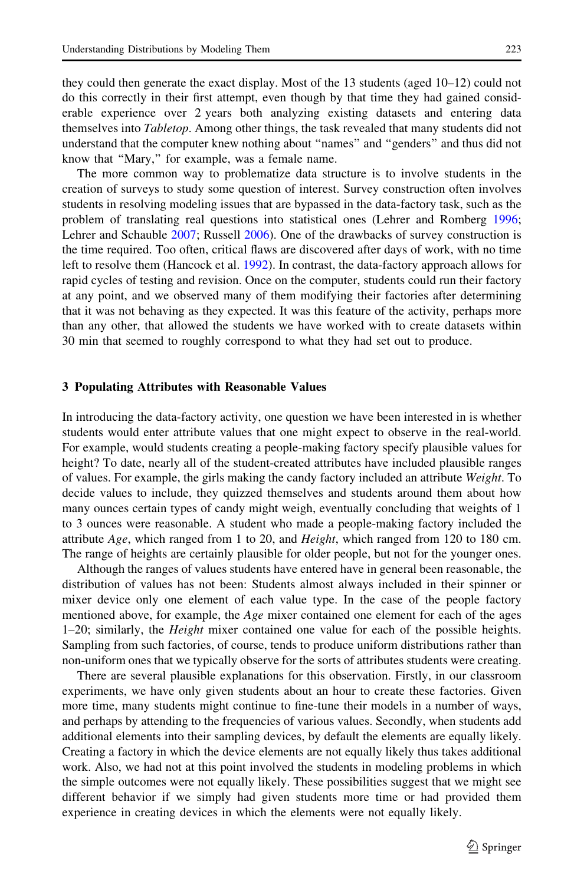they could then generate the exact display. Most of the 13 students (aged 10–12) could not do this correctly in their first attempt, even though by that time they had gained considerable experience over 2 years both analyzing existing datasets and entering data themselves into *Tabletop*. Among other things, the task revealed that many students did not understand that the computer knew nothing about ''names'' and ''genders'' and thus did not know that ''Mary,'' for example, was a female name.

The more common way to problematize data structure is to involve students in the creation of surveys to study some question of interest. Survey construction often involves students in resolving modeling issues that are bypassed in the data-factory task, such as the problem of translating real questions into statistical ones (Lehrer and Romberg [1996;](#page-13-0) Lehrer and Schauble [2007;](#page-13-0) Russell [2006\)](#page-13-0). One of the drawbacks of survey construction is the time required. Too often, critical flaws are discovered after days of work, with no time left to resolve them (Hancock et al. [1992\)](#page-12-0). In contrast, the data-factory approach allows for rapid cycles of testing and revision. Once on the computer, students could run their factory at any point, and we observed many of them modifying their factories after determining that it was not behaving as they expected. It was this feature of the activity, perhaps more than any other, that allowed the students we have worked with to create datasets within 30 min that seemed to roughly correspond to what they had set out to produce.

#### 3 Populating Attributes with Reasonable Values

In introducing the data-factory activity, one question we have been interested in is whether students would enter attribute values that one might expect to observe in the real-world. For example, would students creating a people-making factory specify plausible values for height? To date, nearly all of the student-created attributes have included plausible ranges of values. For example, the girls making the candy factory included an attribute Weight. To decide values to include, they quizzed themselves and students around them about how many ounces certain types of candy might weigh, eventually concluding that weights of 1 to 3 ounces were reasonable. A student who made a people-making factory included the attribute  $Age$ , which ranged from 1 to 20, and  $Height$ , which ranged from 120 to 180 cm. The range of heights are certainly plausible for older people, but not for the younger ones.

Although the ranges of values students have entered have in general been reasonable, the distribution of values has not been: Students almost always included in their spinner or mixer device only one element of each value type. In the case of the people factory mentioned above, for example, the  $Age$  mixer contained one element for each of the ages 1–20; similarly, the Height mixer contained one value for each of the possible heights. Sampling from such factories, of course, tends to produce uniform distributions rather than non-uniform ones that we typically observe for the sorts of attributes students were creating.

There are several plausible explanations for this observation. Firstly, in our classroom experiments, we have only given students about an hour to create these factories. Given more time, many students might continue to fine-tune their models in a number of ways, and perhaps by attending to the frequencies of various values. Secondly, when students add additional elements into their sampling devices, by default the elements are equally likely. Creating a factory in which the device elements are not equally likely thus takes additional work. Also, we had not at this point involved the students in modeling problems in which the simple outcomes were not equally likely. These possibilities suggest that we might see different behavior if we simply had given students more time or had provided them experience in creating devices in which the elements were not equally likely.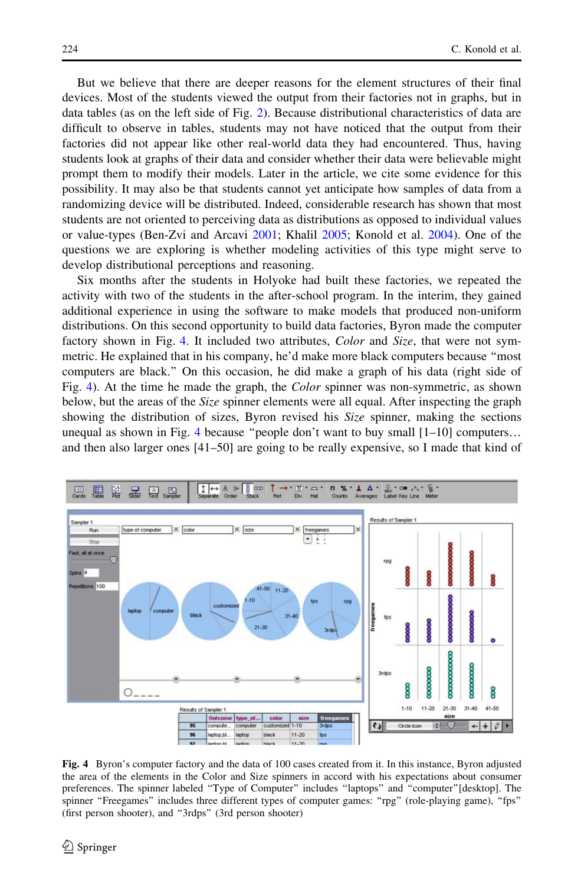<span id="page-7-0"></span>But we believe that there are deeper reasons for the element structures of their final devices. Most of the students viewed the output from their factories not in graphs, but in data tables (as on the left side of Fig. [2](#page-3-0)). Because distributional characteristics of data are difficult to observe in tables, students may not have noticed that the output from their factories did not appear like other real-world data they had encountered. Thus, having students look at graphs of their data and consider whether their data were believable might prompt them to modify their models. Later in the article, we cite some evidence for this possibility. It may also be that students cannot yet anticipate how samples of data from a randomizing device will be distributed. Indeed, considerable research has shown that most students are not oriented to perceiving data as distributions as opposed to individual values or value-types (Ben-Zvi and Arcavi [2001](#page-12-0); Khalil [2005](#page-12-0); Konold et al. [2004](#page-13-0)). One of the questions we are exploring is whether modeling activities of this type might serve to develop distributional perceptions and reasoning.

Six months after the students in Holyoke had built these factories, we repeated the activity with two of the students in the after-school program. In the interim, they gained additional experience in using the software to make models that produced non-uniform distributions. On this second opportunity to build data factories, Byron made the computer factory shown in Fig. 4. It included two attributes, *Color* and *Size*, that were not symmetric. He explained that in his company, he'd make more black computers because ''most computers are black.'' On this occasion, he did make a graph of his data (right side of Fig. 4). At the time he made the graph, the *Color* spinner was non-symmetric, as shown below, but the areas of the *Size* spinner elements were all equal. After inspecting the graph showing the distribution of sizes, Byron revised his Size spinner, making the sections unequal as shown in Fig. 4 because "people don't want to buy small  $[1-10]$  computers... and then also larger ones [41–50] are going to be really expensive, so I made that kind of



Fig. 4 Byron's computer factory and the data of 100 cases created from it. In this instance, Byron adjusted the area of the elements in the Color and Size spinners in accord with his expectations about consumer preferences. The spinner labeled "Type of Computer" includes "laptops" and "computer"[desktop]. The spinner "Freegames" includes three different types of computer games: "rpg" (role-playing game), "fps" (first person shooter), and ''3rdps'' (3rd person shooter)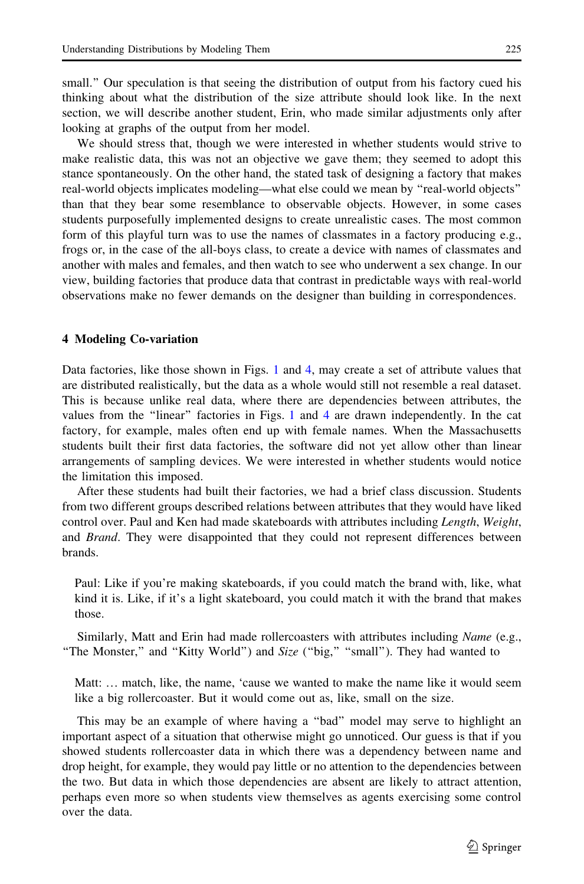small.'' Our speculation is that seeing the distribution of output from his factory cued his thinking about what the distribution of the size attribute should look like. In the next section, we will describe another student, Erin, who made similar adjustments only after looking at graphs of the output from her model.

We should stress that, though we were interested in whether students would strive to make realistic data, this was not an objective we gave them; they seemed to adopt this stance spontaneously. On the other hand, the stated task of designing a factory that makes real-world objects implicates modeling—what else could we mean by ''real-world objects'' than that they bear some resemblance to observable objects. However, in some cases students purposefully implemented designs to create unrealistic cases. The most common form of this playful turn was to use the names of classmates in a factory producing e.g., frogs or, in the case of the all-boys class, to create a device with names of classmates and another with males and females, and then watch to see who underwent a sex change. In our view, building factories that produce data that contrast in predictable ways with real-world observations make no fewer demands on the designer than building in correspondences.

## 4 Modeling Co-variation

Data factories, like those shown in Figs. [1](#page-3-0) and [4,](#page-7-0) may create a set of attribute values that are distributed realistically, but the data as a whole would still not resemble a real dataset. This is because unlike real data, where there are dependencies between attributes, the values from the ''linear'' factories in Figs. [1](#page-3-0) and [4](#page-7-0) are drawn independently. In the cat factory, for example, males often end up with female names. When the Massachusetts students built their first data factories, the software did not yet allow other than linear arrangements of sampling devices. We were interested in whether students would notice the limitation this imposed.

After these students had built their factories, we had a brief class discussion. Students from two different groups described relations between attributes that they would have liked control over. Paul and Ken had made skateboards with attributes including Length, Weight, and *Brand*. They were disappointed that they could not represent differences between brands.

Paul: Like if you're making skateboards, if you could match the brand with, like, what kind it is. Like, if it's a light skateboard, you could match it with the brand that makes those.

Similarly, Matt and Erin had made rollercoasters with attributes including Name (e.g., "The Monster," and "Kitty World") and Size ("big," "small"). They had wanted to

Matt: … match, like, the name, 'cause we wanted to make the name like it would seem like a big rollercoaster. But it would come out as, like, small on the size.

This may be an example of where having a ''bad'' model may serve to highlight an important aspect of a situation that otherwise might go unnoticed. Our guess is that if you showed students rollercoaster data in which there was a dependency between name and drop height, for example, they would pay little or no attention to the dependencies between the two. But data in which those dependencies are absent are likely to attract attention, perhaps even more so when students view themselves as agents exercising some control over the data.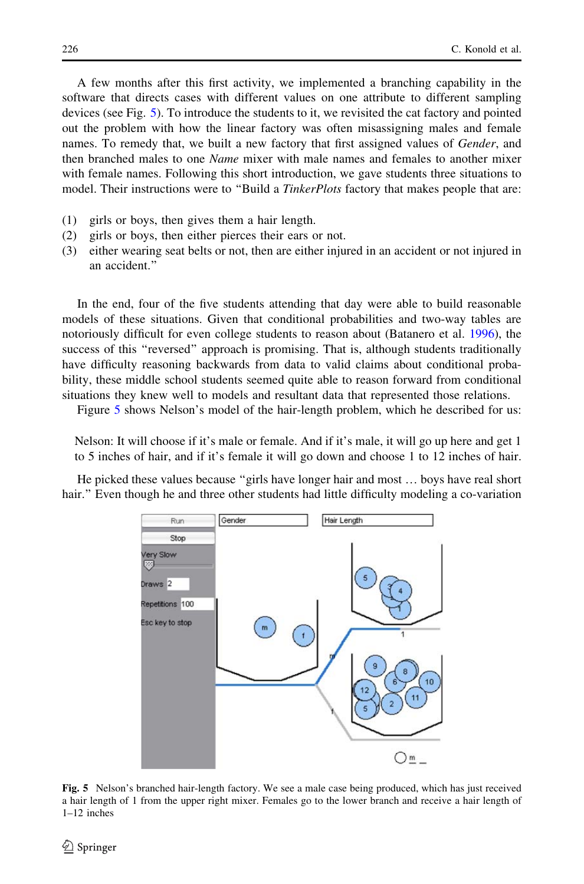A few months after this first activity, we implemented a branching capability in the software that directs cases with different values on one attribute to different sampling devices (see Fig. 5). To introduce the students to it, we revisited the cat factory and pointed out the problem with how the linear factory was often misassigning males and female names. To remedy that, we built a new factory that first assigned values of *Gender*, and then branched males to one *Name* mixer with male names and females to another mixer with female names. Following this short introduction, we gave students three situations to model. Their instructions were to "Build a *TinkerPlots* factory that makes people that are:

- (1) girls or boys, then gives them a hair length.
- (2) girls or boys, then either pierces their ears or not.
- (3) either wearing seat belts or not, then are either injured in an accident or not injured in an accident.''

In the end, four of the five students attending that day were able to build reasonable models of these situations. Given that conditional probabilities and two-way tables are notoriously difficult for even college students to reason about (Batanero et al. [1996](#page-12-0)), the success of this "reversed" approach is promising. That is, although students traditionally have difficulty reasoning backwards from data to valid claims about conditional probability, these middle school students seemed quite able to reason forward from conditional situations they knew well to models and resultant data that represented those relations.

Figure 5 shows Nelson's model of the hair-length problem, which he described for us:

Nelson: It will choose if it's male or female. And if it's male, it will go up here and get 1 to 5 inches of hair, and if it's female it will go down and choose 1 to 12 inches of hair.

He picked these values because ''girls have longer hair and most … boys have real short hair." Even though he and three other students had little difficulty modeling a co-variation



Fig. 5 Nelson's branched hair-length factory. We see a male case being produced, which has just received a hair length of 1 from the upper right mixer. Females go to the lower branch and receive a hair length of 1–12 inches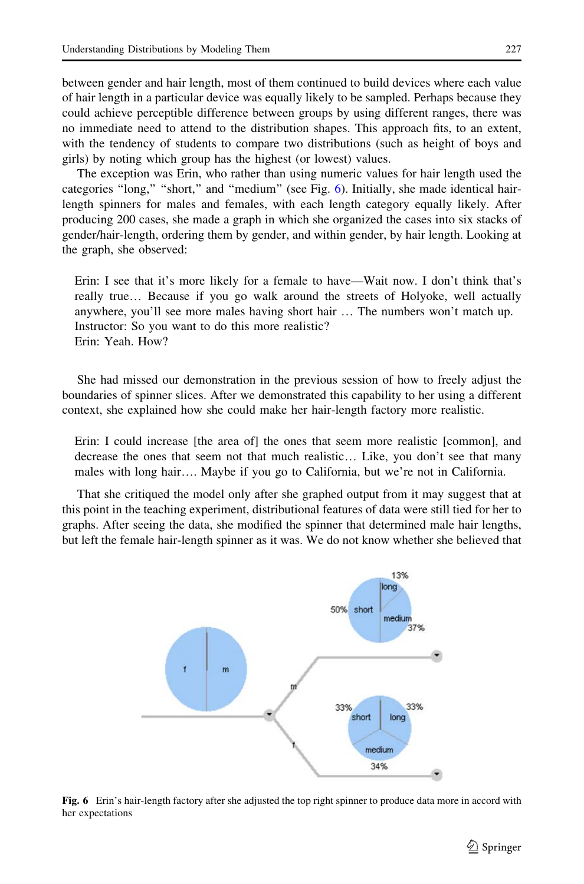between gender and hair length, most of them continued to build devices where each value of hair length in a particular device was equally likely to be sampled. Perhaps because they could achieve perceptible difference between groups by using different ranges, there was no immediate need to attend to the distribution shapes. This approach fits, to an extent, with the tendency of students to compare two distributions (such as height of boys and girls) by noting which group has the highest (or lowest) values.

The exception was Erin, who rather than using numeric values for hair length used the categories "long," "short," and "medium" (see Fig. 6). Initially, she made identical hairlength spinners for males and females, with each length category equally likely. After producing 200 cases, she made a graph in which she organized the cases into six stacks of gender/hair-length, ordering them by gender, and within gender, by hair length. Looking at the graph, she observed:

Erin: I see that it's more likely for a female to have—Wait now. I don't think that's really true… Because if you go walk around the streets of Holyoke, well actually anywhere, you'll see more males having short hair … The numbers won't match up. Instructor: So you want to do this more realistic? Erin: Yeah. How?

She had missed our demonstration in the previous session of how to freely adjust the boundaries of spinner slices. After we demonstrated this capability to her using a different context, she explained how she could make her hair-length factory more realistic.

Erin: I could increase [the area of] the ones that seem more realistic [common], and decrease the ones that seem not that much realistic… Like, you don't see that many males with long hair…. Maybe if you go to California, but we're not in California.

That she critiqued the model only after she graphed output from it may suggest that at this point in the teaching experiment, distributional features of data were still tied for her to graphs. After seeing the data, she modified the spinner that determined male hair lengths, but left the female hair-length spinner as it was. We do not know whether she believed that



Fig. 6 Erin's hair-length factory after she adjusted the top right spinner to produce data more in accord with her expectations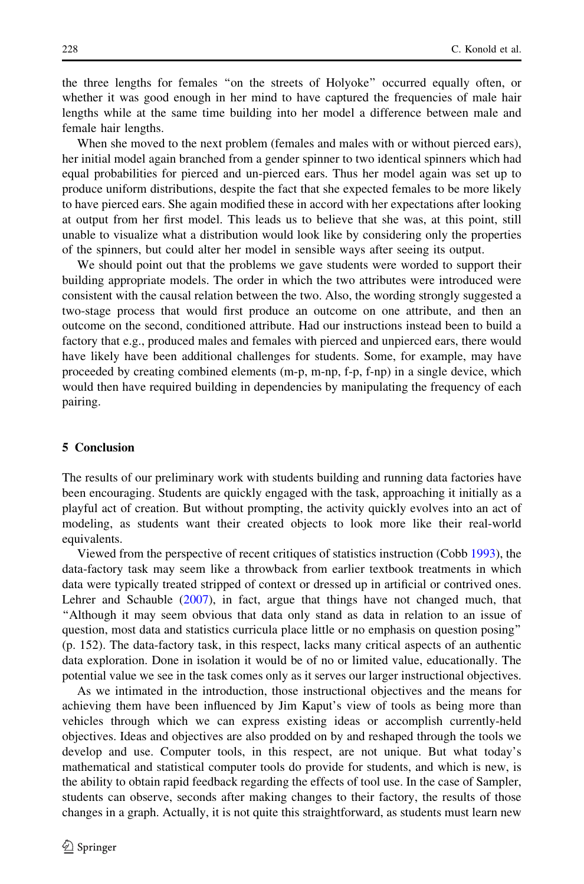the three lengths for females ''on the streets of Holyoke'' occurred equally often, or whether it was good enough in her mind to have captured the frequencies of male hair lengths while at the same time building into her model a difference between male and female hair lengths.

When she moved to the next problem (females and males with or without pierced ears), her initial model again branched from a gender spinner to two identical spinners which had equal probabilities for pierced and un-pierced ears. Thus her model again was set up to produce uniform distributions, despite the fact that she expected females to be more likely to have pierced ears. She again modified these in accord with her expectations after looking at output from her first model. This leads us to believe that she was, at this point, still unable to visualize what a distribution would look like by considering only the properties of the spinners, but could alter her model in sensible ways after seeing its output.

We should point out that the problems we gave students were worded to support their building appropriate models. The order in which the two attributes were introduced were consistent with the causal relation between the two. Also, the wording strongly suggested a two-stage process that would first produce an outcome on one attribute, and then an outcome on the second, conditioned attribute. Had our instructions instead been to build a factory that e.g., produced males and females with pierced and unpierced ears, there would have likely have been additional challenges for students. Some, for example, may have proceeded by creating combined elements (m-p, m-np, f-p, f-np) in a single device, which would then have required building in dependencies by manipulating the frequency of each pairing.

## 5 Conclusion

The results of our preliminary work with students building and running data factories have been encouraging. Students are quickly engaged with the task, approaching it initially as a playful act of creation. But without prompting, the activity quickly evolves into an act of modeling, as students want their created objects to look more like their real-world equivalents.

Viewed from the perspective of recent critiques of statistics instruction (Cobb [1993](#page-12-0)), the data-factory task may seem like a throwback from earlier textbook treatments in which data were typically treated stripped of context or dressed up in artificial or contrived ones. Lehrer and Schauble [\(2007](#page-13-0)), in fact, argue that things have not changed much, that ''Although it may seem obvious that data only stand as data in relation to an issue of question, most data and statistics curricula place little or no emphasis on question posing'' (p. 152). The data-factory task, in this respect, lacks many critical aspects of an authentic data exploration. Done in isolation it would be of no or limited value, educationally. The potential value we see in the task comes only as it serves our larger instructional objectives.

As we intimated in the introduction, those instructional objectives and the means for achieving them have been influenced by Jim Kaput's view of tools as being more than vehicles through which we can express existing ideas or accomplish currently-held objectives. Ideas and objectives are also prodded on by and reshaped through the tools we develop and use. Computer tools, in this respect, are not unique. But what today's mathematical and statistical computer tools do provide for students, and which is new, is the ability to obtain rapid feedback regarding the effects of tool use. In the case of Sampler, students can observe, seconds after making changes to their factory, the results of those changes in a graph. Actually, it is not quite this straightforward, as students must learn new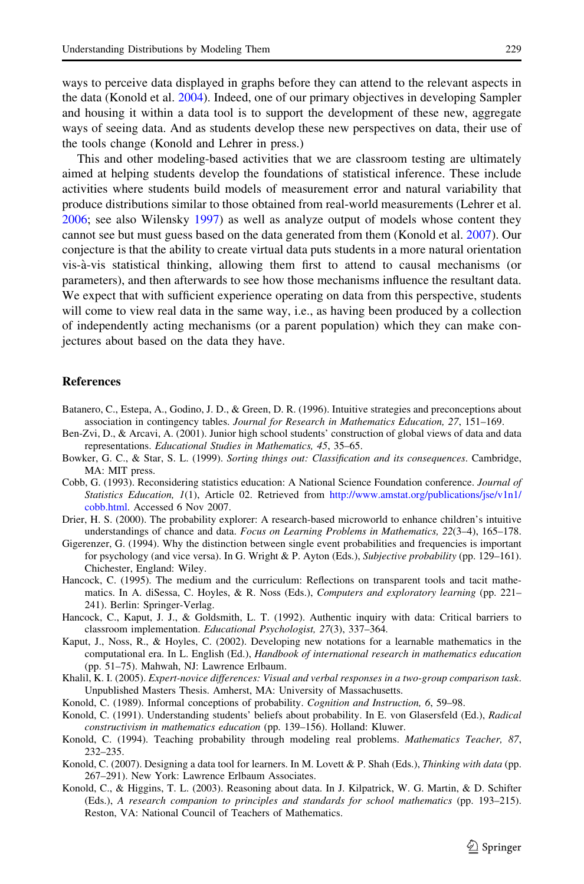<span id="page-12-0"></span>ways to perceive data displayed in graphs before they can attend to the relevant aspects in the data (Konold et al. [2004](#page-13-0)). Indeed, one of our primary objectives in developing Sampler and housing it within a data tool is to support the development of these new, aggregate ways of seeing data. And as students develop these new perspectives on data, their use of the tools change (Konold and Lehrer in press.)

This and other modeling-based activities that we are classroom testing are ultimately aimed at helping students develop the foundations of statistical inference. These include activities where students build models of measurement error and natural variability that produce distributions similar to those obtained from real-world measurements (Lehrer et al. [2006;](#page-13-0) see also Wilensky [1997](#page-13-0)) as well as analyze output of models whose content they cannot see but must guess based on the data generated from them (Konold et al. [2007](#page-13-0)). Our conjecture is that the ability to create virtual data puts students in a more natural orientation vis-a`-vis statistical thinking, allowing them first to attend to causal mechanisms (or parameters), and then afterwards to see how those mechanisms influence the resultant data. We expect that with sufficient experience operating on data from this perspective, students will come to view real data in the same way, i.e., as having been produced by a collection of independently acting mechanisms (or a parent population) which they can make conjectures about based on the data they have.

### References

- Batanero, C., Estepa, A., Godino, J. D., & Green, D. R. (1996). Intuitive strategies and preconceptions about association in contingency tables. Journal for Research in Mathematics Education, 27, 151–169.
- Ben-Zvi, D., & Arcavi, A. (2001). Junior high school students' construction of global views of data and data representations. Educational Studies in Mathematics, 45, 35–65.
- Bowker, G. C., & Star, S. L. (1999). Sorting things out: Classification and its consequences. Cambridge, MA: MIT press.
- Cobb, G. (1993). Reconsidering statistics education: A National Science Foundation conference. Journal of Statistics Education, 1(1), Article 02. Retrieved from [http://www.amstat.org/publications/jse/v1n1/](http://www.amstat.org/publications/jse/v1n1/cobb.html) [cobb.html.](http://www.amstat.org/publications/jse/v1n1/cobb.html) Accessed 6 Nov 2007.
- Drier, H. S. (2000). The probability explorer: A research-based microworld to enhance children's intuitive understandings of chance and data. Focus on Learning Problems in Mathematics, 22(3-4), 165-178.
- Gigerenzer, G. (1994). Why the distinction between single event probabilities and frequencies is important for psychology (and vice versa). In G. Wright & P. Ayton (Eds.), Subjective probability (pp. 129–161). Chichester, England: Wiley.
- Hancock, C. (1995). The medium and the curriculum: Reflections on transparent tools and tacit mathematics. In A. diSessa, C. Hoyles, & R. Noss (Eds.), Computers and exploratory learning (pp. 221– 241). Berlin: Springer-Verlag.
- Hancock, C., Kaput, J. J., & Goldsmith, L. T. (1992). Authentic inquiry with data: Critical barriers to classroom implementation. Educational Psychologist, 27(3), 337–364.
- Kaput, J., Noss, R., & Hoyles, C. (2002). Developing new notations for a learnable mathematics in the computational era. In L. English (Ed.), Handbook of international research in mathematics education (pp. 51–75). Mahwah, NJ: Lawrence Erlbaum.
- Khalil, K. I. (2005). Expert-novice differences: Visual and verbal responses in a two-group comparison task. Unpublished Masters Thesis. Amherst, MA: University of Massachusetts.
- Konold, C. (1989). Informal conceptions of probability. Cognition and Instruction, 6, 59-98.
- Konold, C. (1991). Understanding students' beliefs about probability. In E. von Glasersfeld (Ed.), Radical constructivism in mathematics education (pp. 139–156). Holland: Kluwer.
- Konold, C. (1994). Teaching probability through modeling real problems. Mathematics Teacher, 87, 232–235.
- Konold, C. (2007). Designing a data tool for learners. In M. Lovett & P. Shah (Eds.), Thinking with data (pp. 267–291). New York: Lawrence Erlbaum Associates.
- Konold, C., & Higgins, T. L. (2003). Reasoning about data. In J. Kilpatrick, W. G. Martin, & D. Schifter (Eds.), A research companion to principles and standards for school mathematics (pp. 193–215). Reston, VA: National Council of Teachers of Mathematics.